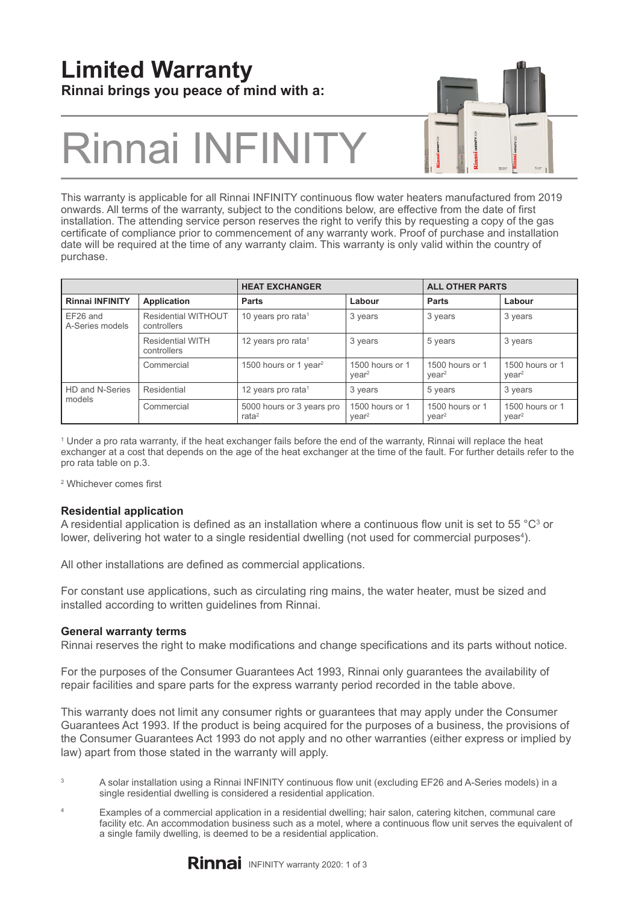### **Limited Warranty Rinnai brings you peace of mind with a:**

# Rinnai INFINI<sup>-</sup>

This warranty is applicable for all Rinnai INFINITY continuous flow water heaters manufactured from 2019 onwards. All terms of the warranty, subject to the conditions below, are effective from the date of first installation. The attending service person reserves the right to verify this by requesting a copy of the gas certificate of compliance prior to commencement of any warranty work. Proof of purchase and installation date will be required at the time of any warranty claim. This warranty is only valid within the country of purchase.

|                                       |                                           | <b>HEAT EXCHANGER</b>                                                             |                                      | <b>ALL OTHER PARTS</b>                       |                                              |  |
|---------------------------------------|-------------------------------------------|-----------------------------------------------------------------------------------|--------------------------------------|----------------------------------------------|----------------------------------------------|--|
| Application<br><b>Rinnai INFINITY</b> |                                           | <b>Parts</b>                                                                      | Labour                               | <b>Parts</b>                                 | Labour                                       |  |
| EF26 and<br>A-Series models           | <b>Residential WITHOUT</b><br>controllers | 10 years pro rata <sup>1</sup>                                                    | 3 years                              |                                              | 3 years                                      |  |
|                                       | <b>Residential WITH</b><br>controllers    | 12 years pro rata <sup>1</sup><br>3 years                                         |                                      | 5 years                                      | 3 years                                      |  |
|                                       | Commercial                                | 1500 hours or 1 year <sup>2</sup><br>1500 hours or 1<br>$\gamma$ ear <sup>2</sup> |                                      | 1500 hours or 1<br>$\gamma$ ear <sup>2</sup> | 1500 hours or 1<br>$\gamma$ ear <sup>2</sup> |  |
| HD and N-Series<br>models             | Residential                               | 12 years pro rata <sup>1</sup>                                                    | 3 years                              | 5 years                                      | 3 years                                      |  |
|                                       | Commercial                                | 5000 hours or 3 years pro<br>rata $2$                                             | 1500 hours or 1<br>vear <sup>2</sup> | 1500 hours or 1<br>$\gamma$ ear <sup>2</sup> | 1500 hours or 1<br>$\gamma$ ear <sup>2</sup> |  |

1 Under a pro rata warranty, if the heat exchanger fails before the end of the warranty, Rinnai will replace the heat exchanger at a cost that depends on the age of the heat exchanger at the time of the fault. For further details refer to the pro rata table on p.3.

2 Whichever comes first

#### **Residential application**

A residential application is defined as an installation where a continuous flow unit is set to 55 °C $^{\circ}$  or lower, delivering hot water to a single residential dwelling (not used for commercial purposes $^{\rm 4)}$ .

All other installations are defined as commercial applications.

For constant use applications, such as circulating ring mains, the water heater, must be sized and installed according to written guidelines from Rinnai.

#### **General warranty terms**

Rinnai reserves the right to make modifications and change specifications and its parts without notice.

For the purposes of the Consumer Guarantees Act 1993, Rinnai only guarantees the availability of repair facilities and spare parts for the express warranty period recorded in the table above.

This warranty does not limit any consumer rights or guarantees that may apply under the Consumer Guarantees Act 1993. If the product is being acquired for the purposes of a business, the provisions of the Consumer Guarantees Act 1993 do not apply and no other warranties (either express or implied by law) apart from those stated in the warranty will apply.

- <sup>3</sup> A solar installation using a Rinnai INFINITY continuous flow unit (excluding EF26 and A-Series models) in a single residential dwelling is considered a residential application.
- <sup>4</sup> Examples of a commercial application in a residential dwelling; hair salon, catering kitchen, communal care facility etc. An accommodation business such as a motel, where a continuous flow unit serves the equivalent of a single family dwelling, is deemed to be a residential application.

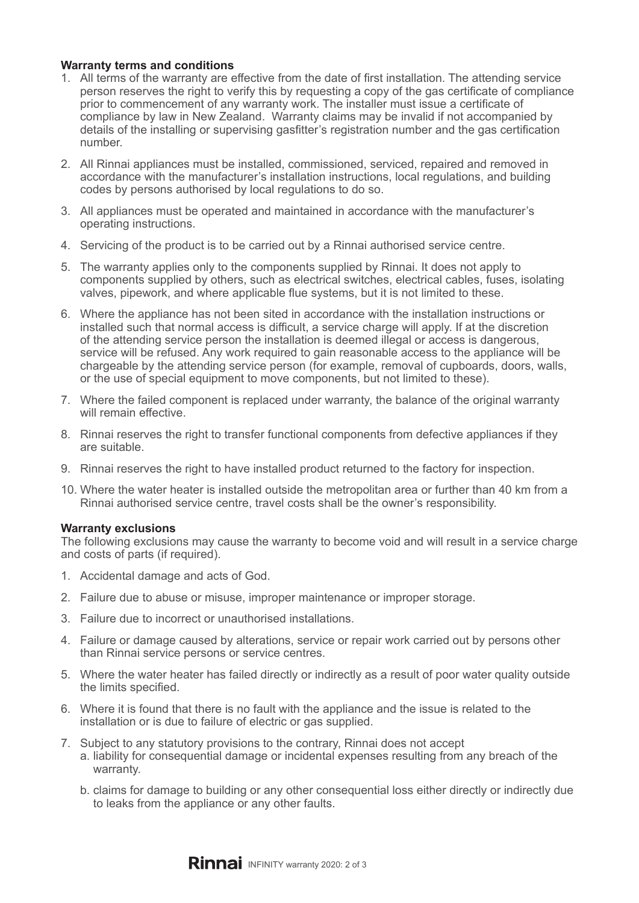#### **Warranty terms and conditions**

- 1. All terms of the warranty are effective from the date of first installation. The attending service person reserves the right to verify this by requesting a copy of the gas certificate of compliance prior to commencement of any warranty work. The installer must issue a certificate of compliance by law in New Zealand. Warranty claims may be invalid if not accompanied by details of the installing or supervising gasfitter's registration number and the gas certification number.
- 2. All Rinnai appliances must be installed, commissioned, serviced, repaired and removed in accordance with the manufacturer's installation instructions, local regulations, and building codes by persons authorised by local regulations to do so.
- 3. All appliances must be operated and maintained in accordance with the manufacturer's operating instructions.
- 4. Servicing of the product is to be carried out by a Rinnai authorised service centre.
- 5. The warranty applies only to the components supplied by Rinnai. It does not apply to components supplied by others, such as electrical switches, electrical cables, fuses, isolating valves, pipework, and where applicable flue systems, but it is not limited to these.
- 6. Where the appliance has not been sited in accordance with the installation instructions or installed such that normal access is difficult, a service charge will apply. If at the discretion of the attending service person the installation is deemed illegal or access is dangerous, service will be refused. Any work required to gain reasonable access to the appliance will be chargeable by the attending service person (for example, removal of cupboards, doors, walls, or the use of special equipment to move components, but not limited to these).
- 7. Where the failed component is replaced under warranty, the balance of the original warranty will remain effective.
- 8. Rinnai reserves the right to transfer functional components from defective appliances if they are suitable.
- 9. Rinnai reserves the right to have installed product returned to the factory for inspection.
- 10. Where the water heater is installed outside the metropolitan area or further than 40 km from a Rinnai authorised service centre, travel costs shall be the owner's responsibility.

#### **Warranty exclusions**

The following exclusions may cause the warranty to become void and will result in a service charge and costs of parts (if required).

- 1. Accidental damage and acts of God.
- 2. Failure due to abuse or misuse, improper maintenance or improper storage.
- 3. Failure due to incorrect or unauthorised installations.
- 4. Failure or damage caused by alterations, service or repair work carried out by persons other than Rinnai service persons or service centres.
- 5. Where the water heater has failed directly or indirectly as a result of poor water quality outside the limits specified.
- 6. Where it is found that there is no fault with the appliance and the issue is related to the installation or is due to failure of electric or gas supplied.
- 7. Subject to any statutory provisions to the contrary, Rinnai does not accept
	- a. liability for consequential damage or incidental expenses resulting from any breach of the warranty.
	- b. claims for damage to building or any other consequential loss either directly or indirectly due to leaks from the appliance or any other faults.